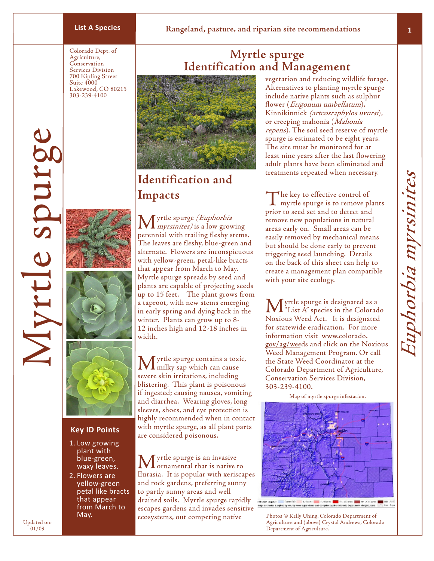# **List A Species Rangeland, pasture, and riparian site recommendations**

Colorado Dept. of Agriculture, Conservation Services Division 700 Kipling Street Suite 4000 Lakewood, CO 80215 303-239-4100

# **Myrtle spurge Identification and Management**



# **Identification and Impacts**

Myrtle spurge

Vrtle spurg

Updated on: 01/09





#### **Key ID Points**

- 1. Low growing plant with blue-green, waxy leaves.
- 2. Flowers are yellow-green petal like bracts that appear from March to May.

Myrtle spurge (Euphorbia myrsinites) is a low growing perennial with trailing fleshy stems. The leaves are fleshy, blue-green and alternate. Flowers are inconspicuous with yellow-green, petal-like bracts that appear from March to May. Myrtle spurge spreads by seed and plants are capable of projecting seeds up to 15 feet. The plant grows from a taproot, with new stems emerging in early spring and dying back in the winter. Plants can grow up to 8- 12 inches high and 12-18 inches in width.

yrtle spurge contains a toxic, **L** milky sap which can cause severe skin irritations, including blistering. This plant is poisonous if ingested; causing nausea, vomiting and diarrhea. Wearing gloves, long sleeves, shoes, and eye protection is highly recommended when in contact with myrtle spurge, as all plant parts are considered poisonous.

**M** yrtle spurge is an invasive<br> **C** commental that is native to Eurasia. It is popular with xeriscapes and rock gardens, preferring sunny to partly sunny areas and well drained soils. Myrtle spurge rapidly escapes gardens and invades sensitive ecosystems, out competing native

vegetation and reducing wildlife forage. Alternatives to planting myrtle spurge include native plants such as sulphur flower (*Erigonum umbellatum*), Kinnikinnick (artcostaphylos uvursi), or creeping mahonia (Mahonia repens). The soil seed reserve of myrtle spurge is estimated to be eight years. The site must be monitored for at least nine years after the last flowering adult plants have been eliminated and treatments repeated when necessary.

The key to effective control of myrtle spurge is to remove plants prior to seed set and to detect and remove new populations in natural areas early on. Small areas can be easily removed by mechanical means but should be done early to prevent triggering seed launching. Details on the back of this sheet can help to create a management plan compatible with your site ecology.

Myrtle spurge is designated as a "List A" species in the Colorado Noxious Weed Act. It is designated for statewide eradication. For more information visit www.colorado. gov/ag/weeds and click on the Noxious Weed Management Program. Or call the State Weed Coordinator at the Colorado Department of Agriculture, Conservation Services Division, 303-239-4100.

Map of myrtle spurge infestation.

rolloder (special) – Samuršić – Liudiums – Kultiums <mark>– K</mark>rimulijanus – Jan utilijanus – principlijanus – Karluši<br>Anglicki metri klasifika opisaring meel kapitatem kad oomsled by the belowida bepriment olikigidusam. 1999 ka

Photos © Kelly Uhing, Colorado Department of Agriculture and (above) Crystal Andrews, Colorado Department of Agriculture.

**1**